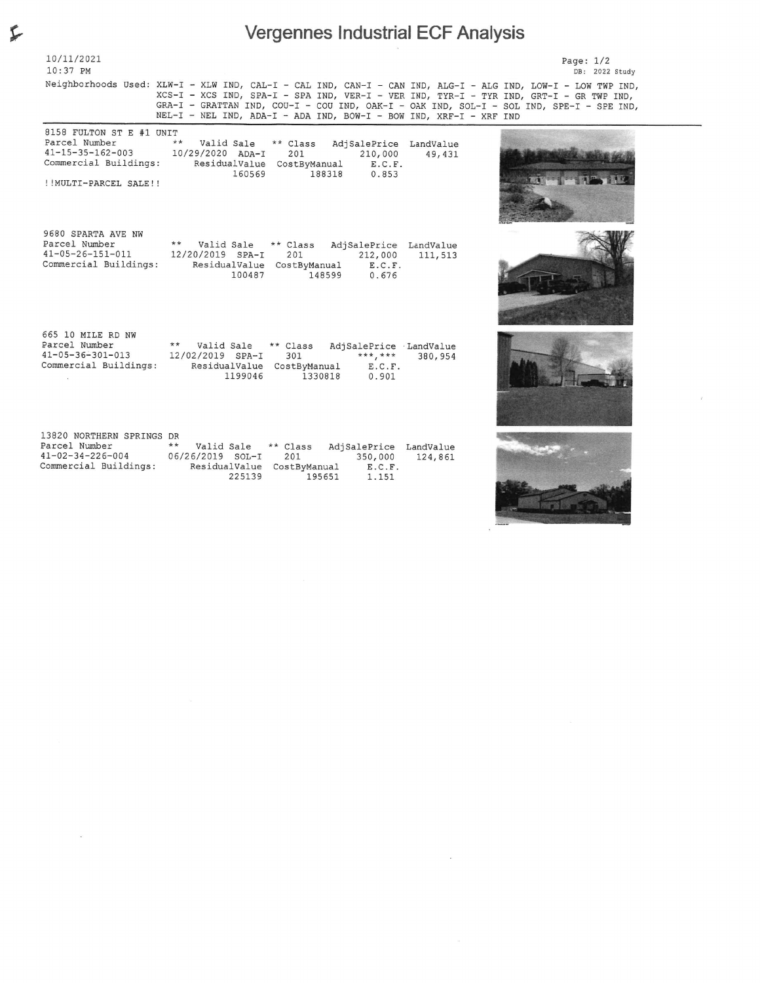## ^ Vergennes Industrial ECF Analysis

| $10:37$ PM                                          |                                                                                                                                                                                                                                                                                                                                                                           | DB: 2022 Study |  |  |  |  |
|-----------------------------------------------------|---------------------------------------------------------------------------------------------------------------------------------------------------------------------------------------------------------------------------------------------------------------------------------------------------------------------------------------------------------------------------|----------------|--|--|--|--|
|                                                     | Neighborhoods Used: XLW-I - XLW IND, CAL-I - CAL IND, CAN-I - CAN IND, ALG-I - ALG IND, LOW-I - LOW TWP IND,<br>XCS-I - XCS IND, SPA-I - SPA IND, VER-I - VER IND, TYR-I - TYR IND, GRT-I - GR TWP IND,<br>GRA-I - GRATTAN IND, COU-I - COU IND, OAK-I - OAK IND, SOL-I - SOL IND, SPE-I - SPE IND,<br>NEL-I - NEL IND, ADA-I - ADA IND, BOW-I - BOW IND, XRF-I - XRF IND |                |  |  |  |  |
| 8158 FULTON ST E #1 UNIT                            |                                                                                                                                                                                                                                                                                                                                                                           |                |  |  |  |  |
| Parcel Number                                       | $***$<br>Valid Sale ** Class<br>AdjSalePrice LandValue                                                                                                                                                                                                                                                                                                                    |                |  |  |  |  |
| $41 - 15 - 35 - 162 - 003$                          | 10/29/2020 ADA-I<br>201<br>210,000<br>49,431                                                                                                                                                                                                                                                                                                                              |                |  |  |  |  |
|                                                     | Commercial Buildings: ResidualValue CostByManual E.C.F.<br>160569<br>188318 0.853                                                                                                                                                                                                                                                                                         |                |  |  |  |  |
| !!MULTI-PARCEL SALE!!                               |                                                                                                                                                                                                                                                                                                                                                                           |                |  |  |  |  |
|                                                     |                                                                                                                                                                                                                                                                                                                                                                           |                |  |  |  |  |
| 9680 SPARTA AVE NW                                  |                                                                                                                                                                                                                                                                                                                                                                           |                |  |  |  |  |
| Parcel Number                                       | ** Valid Sale ** Class AdjSalePrice LandValue                                                                                                                                                                                                                                                                                                                             |                |  |  |  |  |
| $41 - 05 - 26 - 151 - 011$<br>Commercial Buildings: | 12/20/2019 SPA-I<br>201<br>212,000 111,513<br>ResidualValue CostByManual E.C.F.                                                                                                                                                                                                                                                                                           |                |  |  |  |  |
|                                                     | 100487<br>148599<br>0.676                                                                                                                                                                                                                                                                                                                                                 |                |  |  |  |  |
| 665 10 MILE RD NW                                   |                                                                                                                                                                                                                                                                                                                                                                           |                |  |  |  |  |
| Parcel Number                                       | ** Valid Sale<br>** Class AdjSalePrice LandValue                                                                                                                                                                                                                                                                                                                          |                |  |  |  |  |
| $41 - 05 - 36 - 301 - 013$<br>Commercial Buildings: | 12/02/2019 SPA-I<br>***, ***<br>301<br>380,954                                                                                                                                                                                                                                                                                                                            |                |  |  |  |  |
|                                                     | ResidualValue CostByManual<br>E.C.F.<br>1199046<br>1330818<br>0.901                                                                                                                                                                                                                                                                                                       |                |  |  |  |  |

| 13820 NORTHERN SPRINGS DR  |                            |          |                        |         |
|----------------------------|----------------------------|----------|------------------------|---------|
| Parcel Number              | $***$<br>Valid Sale        | ** Class | AdjSalePrice LandValue |         |
| $41 - 02 - 34 - 226 - 004$ | $06/26/2019$ SOL-T         | 201      | 350,000                | 124,861 |
| Commercial Buildings:      | ResidualValue CostByManual |          | E.C.F.                 |         |
|                            | 225139                     | 195651   | 1.151                  |         |



Page: 1/2

10/11/2021

 $\langle \hat{\mathbf{x}} \rangle$